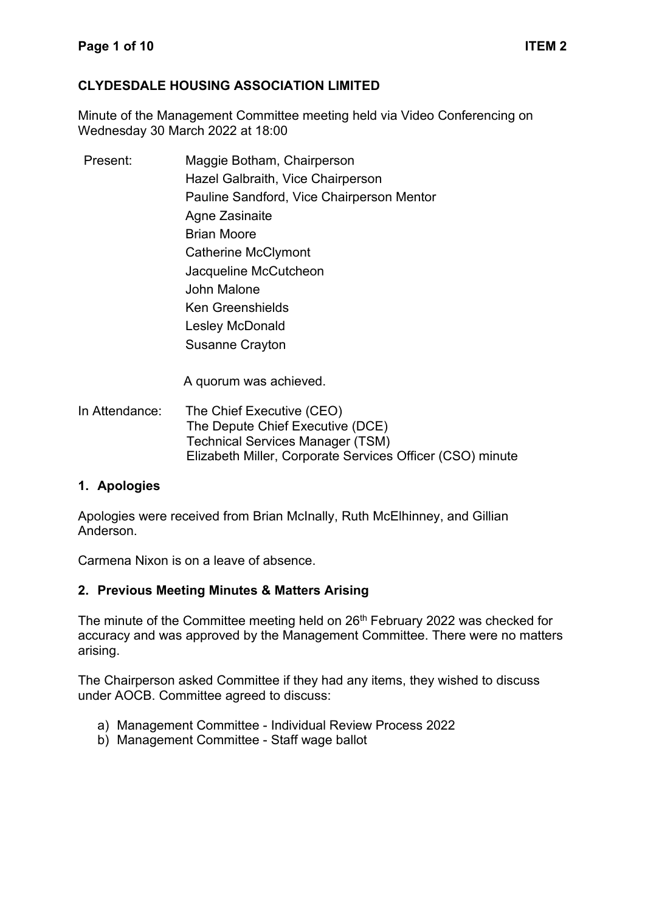#### **CLYDESDALE HOUSING ASSOCIATION LIMITED**

Minute of the Management Committee meeting held via Video Conferencing on Wednesday 30 March 2022 at 18:00

Present: Maggie Botham, Chairperson Hazel Galbraith, Vice Chairperson Pauline Sandford, Vice Chairperson Mentor Agne Zasinaite Brian Moore Catherine McClymont Jacqueline McCutcheon John Malone Ken Greenshields Lesley McDonald Susanne Crayton

A quorum was achieved.

In Attendance: The Chief Executive (CEO) The Depute Chief Executive (DCE) Technical Services Manager (TSM) Elizabeth Miller, Corporate Services Officer (CSO) minute

#### **1. Apologies**

Apologies were received from Brian McInally, Ruth McElhinney, and Gillian Anderson.

Carmena Nixon is on a leave of absence.

#### **2. Previous Meeting Minutes & Matters Arising**

The minute of the Committee meeting held on 26<sup>th</sup> February 2022 was checked for accuracy and was approved by the Management Committee. There were no matters arising.

The Chairperson asked Committee if they had any items, they wished to discuss under AOCB. Committee agreed to discuss:

- a) Management Committee Individual Review Process 2022
- b) Management Committee Staff wage ballot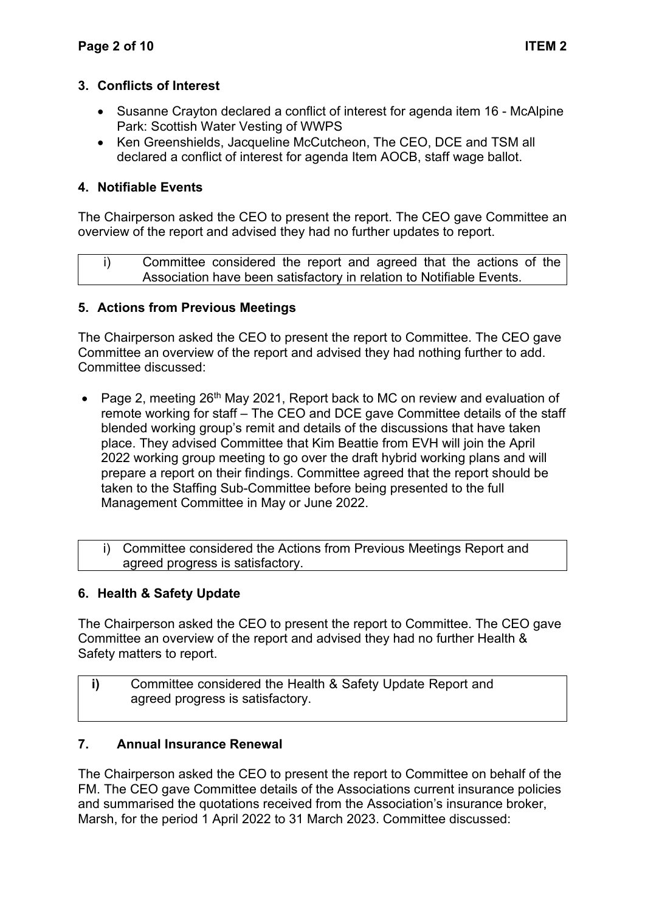## **3. Conflicts of Interest**

- Susanne Crayton declared a conflict of interest for agenda item 16 McAlpine Park: Scottish Water Vesting of WWPS
- Ken Greenshields, Jacqueline McCutcheon, The CEO, DCE and TSM all declared a conflict of interest for agenda Item AOCB, staff wage ballot.

# **4. Notifiable Events**

The Chairperson asked the CEO to present the report. The CEO gave Committee an overview of the report and advised they had no further updates to report.

i) Committee considered the report and agreed that the actions of the Association have been satisfactory in relation to Notifiable Events.

## **5. Actions from Previous Meetings**

The Chairperson asked the CEO to present the report to Committee. The CEO gave Committee an overview of the report and advised they had nothing further to add. Committee discussed:

- Page 2, meeting 26<sup>th</sup> May 2021, Report back to MC on review and evaluation of remote working for staff – The CEO and DCE gave Committee details of the staff blended working group's remit and details of the discussions that have taken place. They advised Committee that Kim Beattie from EVH will join the April 2022 working group meeting to go over the draft hybrid working plans and will prepare a report on their findings. Committee agreed that the report should be taken to the Staffing Sub-Committee before being presented to the full Management Committee in May or June 2022.
	- i) Committee considered the Actions from Previous Meetings Report and agreed progress is satisfactory.

## **6. Health & Safety Update**

The Chairperson asked the CEO to present the report to Committee. The CEO gave Committee an overview of the report and advised they had no further Health & Safety matters to report.

**i)** Committee considered the Health & Safety Update Report and agreed progress is satisfactory.

## **7. Annual Insurance Renewal**

The Chairperson asked the CEO to present the report to Committee on behalf of the FM. The CEO gave Committee details of the Associations current insurance policies and summarised the quotations received from the Association's insurance broker, Marsh, for the period 1 April 2022 to 31 March 2023. Committee discussed: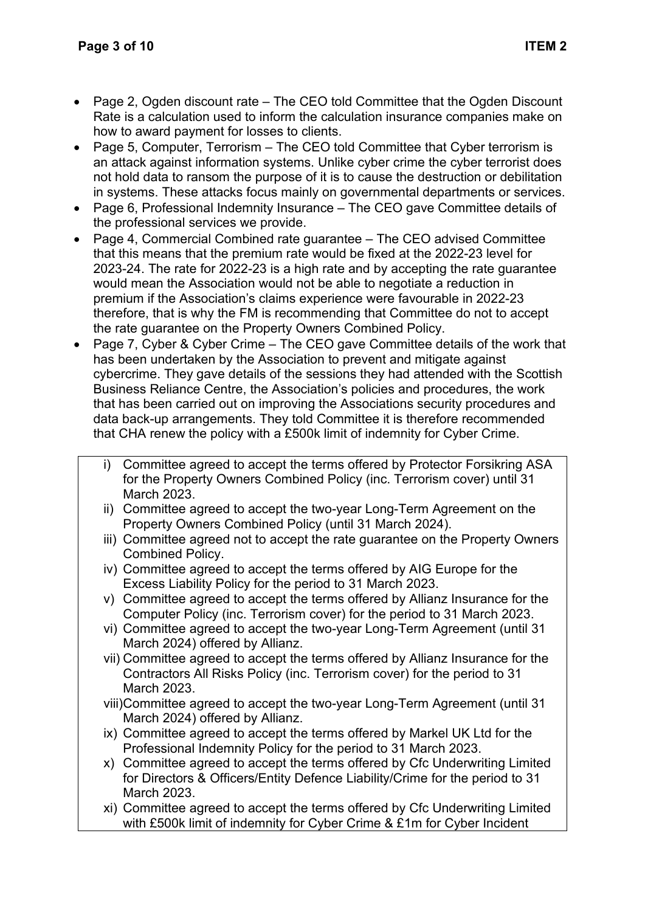- Page 2, Ogden discount rate The CEO told Committee that the Ogden Discount Rate is a calculation used to inform the calculation insurance companies make on how to award payment for losses to clients.
- Page 5, Computer, Terrorism The CEO told Committee that Cyber terrorism is an attack against information systems. Unlike cyber crime the cyber terrorist does not hold data to ransom the purpose of it is to cause the destruction or debilitation in systems. These attacks focus mainly on governmental departments or services.
- Page 6, Professional Indemnity Insurance The CEO gave Committee details of the professional services we provide.
- Page 4, Commercial Combined rate guarantee The CEO advised Committee that this means that the premium rate would be fixed at the 2022-23 level for 2023-24. The rate for 2022-23 is a high rate and by accepting the rate guarantee would mean the Association would not be able to negotiate a reduction in premium if the Association's claims experience were favourable in 2022-23 therefore, that is why the FM is recommending that Committee do not to accept the rate guarantee on the Property Owners Combined Policy.
- Page 7, Cyber & Cyber Crime The CEO gave Committee details of the work that has been undertaken by the Association to prevent and mitigate against cybercrime. They gave details of the sessions they had attended with the Scottish Business Reliance Centre, the Association's policies and procedures, the work that has been carried out on improving the Associations security procedures and data back-up arrangements. They told Committee it is therefore recommended that CHA renew the policy with a £500k limit of indemnity for Cyber Crime.
	- i) Committee agreed to accept the terms offered by Protector Forsikring ASA for the Property Owners Combined Policy (inc. Terrorism cover) until 31 March 2023.
	- ii) Committee agreed to accept the two-year Long-Term Agreement on the Property Owners Combined Policy (until 31 March 2024).
	- iii) Committee agreed not to accept the rate guarantee on the Property Owners Combined Policy.
	- iv) Committee agreed to accept the terms offered by AIG Europe for the Excess Liability Policy for the period to 31 March 2023.
	- v) Committee agreed to accept the terms offered by Allianz Insurance for the Computer Policy (inc. Terrorism cover) for the period to 31 March 2023.
	- vi) Committee agreed to accept the two-year Long-Term Agreement (until 31 March 2024) offered by Allianz.
	- vii) Committee agreed to accept the terms offered by Allianz Insurance for the Contractors All Risks Policy (inc. Terrorism cover) for the period to 31 March 2023.
	- viii)Committee agreed to accept the two-year Long-Term Agreement (until 31 March 2024) offered by Allianz.
	- ix) Committee agreed to accept the terms offered by Markel UK Ltd for the Professional Indemnity Policy for the period to 31 March 2023.
	- x) Committee agreed to accept the terms offered by Cfc Underwriting Limited for Directors & Officers/Entity Defence Liability/Crime for the period to 31 March 2023.
	- xi) Committee agreed to accept the terms offered by Cfc Underwriting Limited with £500k limit of indemnity for Cyber Crime & £1m for Cyber Incident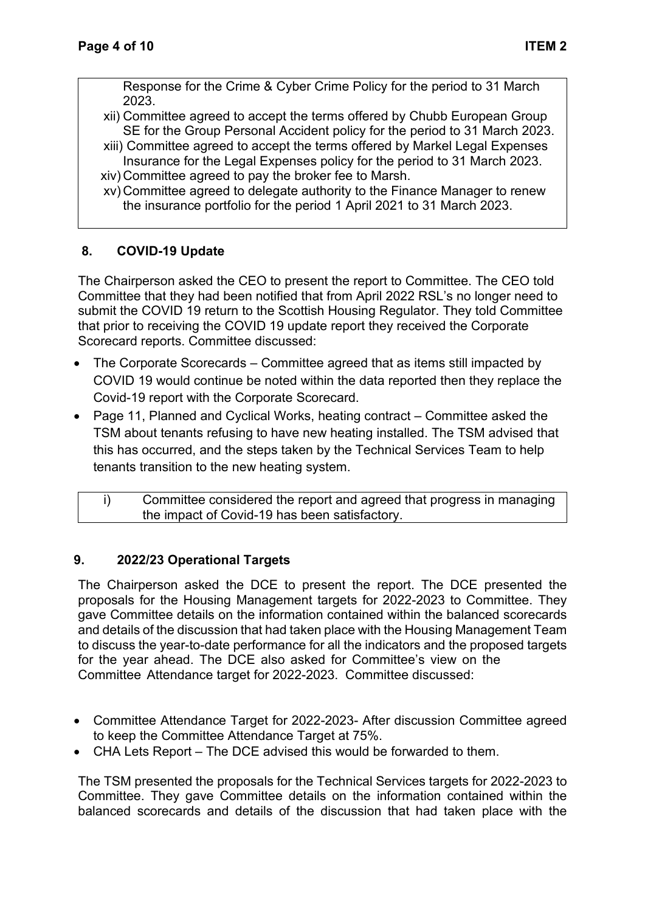Response for the Crime & Cyber Crime Policy for the period to 31 March 2023.

- xii) Committee agreed to accept the terms offered by Chubb European Group SE for the Group Personal Accident policy for the period to 31 March 2023.
- xiii) Committee agreed to accept the terms offered by Markel Legal Expenses Insurance for the Legal Expenses policy for the period to 31 March 2023.
- xiv) Committee agreed to pay the broker fee to Marsh.
- xv) Committee agreed to delegate authority to the Finance Manager to renew the insurance portfolio for the period 1 April 2021 to 31 March 2023.

#### **8. COVID-19 Update**

The Chairperson asked the CEO to present the report to Committee. The CEO told Committee that they had been notified that from April 2022 RSL's no longer need to submit the COVID 19 return to the Scottish Housing Regulator. They told Committee that prior to receiving the COVID 19 update report they received the Corporate Scorecard reports. Committee discussed:

- The Corporate Scorecards Committee agreed that as items still impacted by COVID 19 would continue be noted within the data reported then they replace the Covid-19 report with the Corporate Scorecard.
- Page 11, Planned and Cyclical Works, heating contract Committee asked the TSM about tenants refusing to have new heating installed. The TSM advised that this has occurred, and the steps taken by the Technical Services Team to help tenants transition to the new heating system.

| Committee considered the report and agreed that progress in managing |
|----------------------------------------------------------------------|
| the impact of Covid-19 has been satisfactory.                        |

## **9. 2022/23 Operational Targets**

The Chairperson asked the DCE to present the report. The DCE presented the proposals for the Housing Management targets for 2022-2023 to Committee. They gave Committee details on the information contained within the balanced scorecards and details of the discussion that had taken place with the Housing Management Team to discuss the year-to-date performance for all the indicators and the proposed targets for the year ahead. The DCE also asked for Committee's view on the Committee Attendance target for 2022-2023. Committee discussed:

- Committee Attendance Target for 2022-2023- After discussion Committee agreed to keep the Committee Attendance Target at 75%.
- CHA Lets Report The DCE advised this would be forwarded to them.

The TSM presented the proposals for the Technical Services targets for 2022-2023 to Committee. They gave Committee details on the information contained within the balanced scorecards and details of the discussion that had taken place with the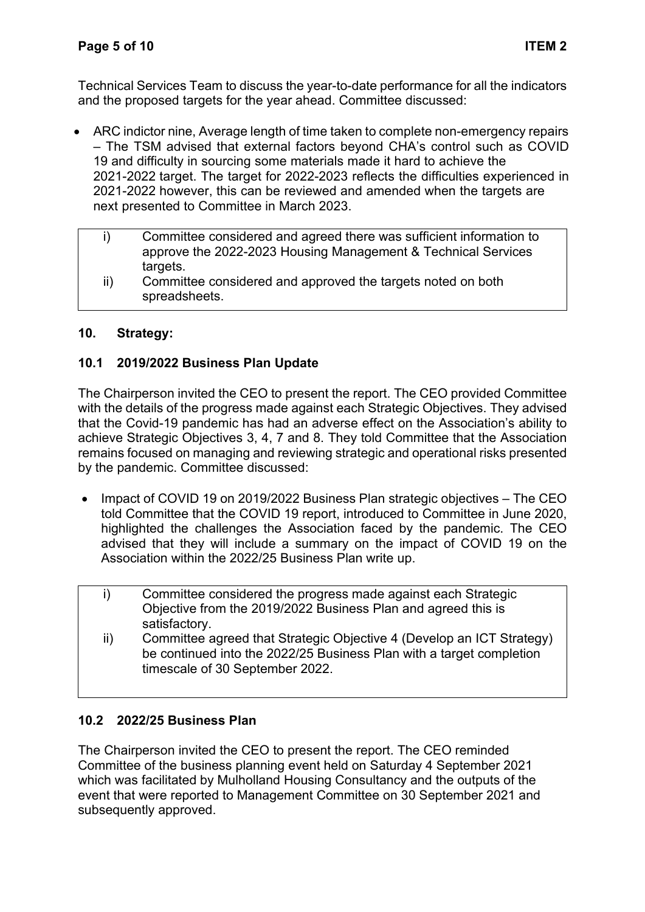Technical Services Team to discuss the year-to-date performance for all the indicators and the proposed targets for the year ahead. Committee discussed:

- ARC indictor nine, Average length of time taken to complete non-emergency repairs – The TSM advised that external factors beyond CHA's control such as COVID 19 and difficulty in sourcing some materials made it hard to achieve the 2021-2022 target. The target for 2022-2023 reflects the difficulties experienced in 2021-2022 however, this can be reviewed and amended when the targets are next presented to Committee in March 2023.
	- i) Committee considered and agreed there was sufficient information to approve the 2022-2023 Housing Management & Technical Services targets.
	- ii) Committee considered and approved the targets noted on both spreadsheets.

# **10. Strategy:**

# **10.1 2019/2022 Business Plan Update**

The Chairperson invited the CEO to present the report. The CEO provided Committee with the details of the progress made against each Strategic Objectives. They advised that the Covid-19 pandemic has had an adverse effect on the Association's ability to achieve Strategic Objectives 3, 4, 7 and 8. They told Committee that the Association remains focused on managing and reviewing strategic and operational risks presented by the pandemic. Committee discussed:

- Impact of COVID 19 on 2019/2022 Business Plan strategic objectives The CEO told Committee that the COVID 19 report, introduced to Committee in June 2020, highlighted the challenges the Association faced by the pandemic. The CEO advised that they will include a summary on the impact of COVID 19 on the Association within the 2022/25 Business Plan write up.
	- i) Committee considered the progress made against each Strategic Objective from the 2019/2022 Business Plan and agreed this is satisfactory.
	- ii) Committee agreed that Strategic Objective 4 (Develop an ICT Strategy) be continued into the 2022/25 Business Plan with a target completion timescale of 30 September 2022.

## **10.2 2022/25 Business Plan**

The Chairperson invited the CEO to present the report. The CEO reminded Committee of the business planning event held on Saturday 4 September 2021 which was facilitated by Mulholland Housing Consultancy and the outputs of the event that were reported to Management Committee on 30 September 2021 and subsequently approved.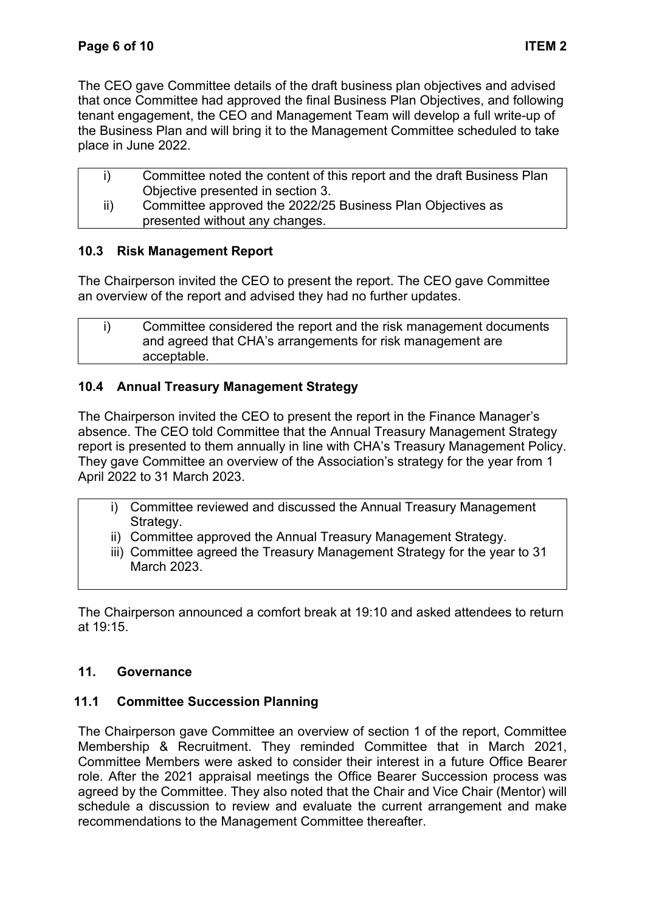The CEO gave Committee details of the draft business plan objectives and advised that once Committee had approved the final Business Plan Objectives, and following tenant engagement, the CEO and Management Team will develop a full write-up of the Business Plan and will bring it to the Management Committee scheduled to take place in June 2022.

|               | Committee noted the content of this report and the draft Business Plan |
|---------------|------------------------------------------------------------------------|
|               | Objective presented in section 3.                                      |
| $\mathsf{ii}$ | Committee approved the 2022/25 Business Plan Objectives as             |
|               | presented without any changes.                                         |
|               |                                                                        |

## **10.3 Risk Management Report**

The Chairperson invited the CEO to present the report. The CEO gave Committee an overview of the report and advised they had no further updates.

| Committee considered the report and the risk management documents |
|-------------------------------------------------------------------|
| and agreed that CHA's arrangements for risk management are        |
| acceptable.                                                       |

## **10.4 Annual Treasury Management Strategy**

The Chairperson invited the CEO to present the report in the Finance Manager's absence. The CEO told Committee that the Annual Treasury Management Strategy report is presented to them annually in line with CHA's Treasury Management Policy. They gave Committee an overview of the Association's strategy for the year from 1 April 2022 to 31 March 2023.

- i) Committee reviewed and discussed the Annual Treasury Management Strategy.
	- ii) Committee approved the Annual Treasury Management Strategy.
	- iii) Committee agreed the Treasury Management Strategy for the year to 31 March 2023.

The Chairperson announced a comfort break at 19:10 and asked attendees to return at 19:15.

## **11. Governance**

## **11.1 Committee Succession Planning**

The Chairperson gave Committee an overview of section 1 of the report, Committee Membership & Recruitment. They reminded Committee that in March 2021, Committee Members were asked to consider their interest in a future Office Bearer role. After the 2021 appraisal meetings the Office Bearer Succession process was agreed by the Committee. They also noted that the Chair and Vice Chair (Mentor) will schedule a discussion to review and evaluate the current arrangement and make recommendations to the Management Committee thereafter.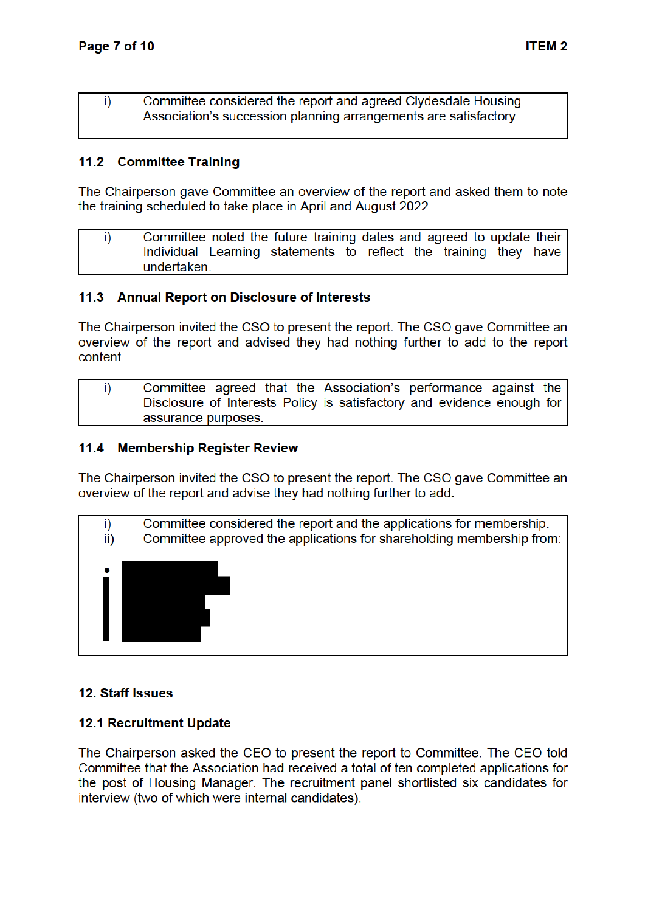Committee considered the report and agreed Clydesdale Housing i) Association's succession planning arrangements are satisfactory.

#### 11.2 Committee Training

The Chairperson gave Committee an overview of the report and asked them to note the training scheduled to take place in April and August 2022.

i) Committee noted the future training dates and agreed to update their Individual Learning statements to reflect the training they have undertaken.

#### 11.3 Annual Report on Disclosure of Interests

The Chairperson invited the CSO to present the report. The CSO gave Committee an overview of the report and advised they had nothing further to add to the report content.

i) Committee agreed that the Association's performance against the Disclosure of Interests Policy is satisfactory and evidence enough for assurance purposes.

#### $11.4$ **Membership Register Review**

The Chairperson invited the CSO to present the report. The CSO gave Committee an overview of the report and advise they had nothing further to add.



#### 12. Staff Issues

#### **12.1 Recruitment Update**

The Chairperson asked the CEO to present the report to Committee. The CEO told Committee that the Association had received a total of ten completed applications for the post of Housing Manager. The recruitment panel shortlisted six candidates for interview (two of which were internal candidates).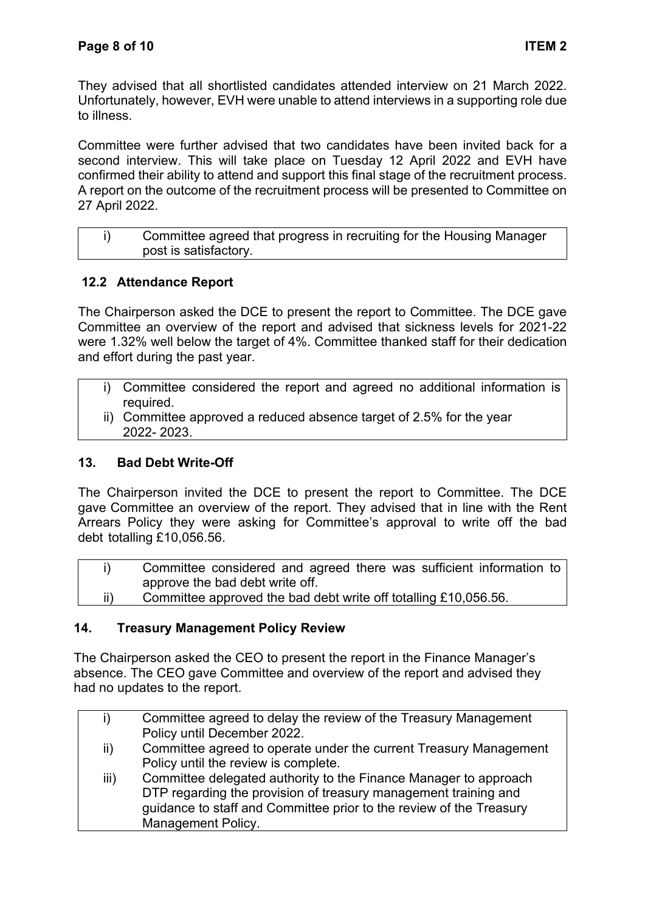They advised that all shortlisted candidates attended interview on 21 March 2022. Unfortunately, however, EVH were unable to attend interviews in a supporting role due to illness.

Committee were further advised that two candidates have been invited back for a second interview. This will take place on Tuesday 12 April 2022 and EVH have confirmed their ability to attend and support this final stage of the recruitment process. A report on the outcome of the recruitment process will be presented to Committee on 27 April 2022.

| Committee agreed that progress in recruiting for the Housing Manager |
|----------------------------------------------------------------------|
| post is satisfactory.                                                |

# **12.2 Attendance Report**

The Chairperson asked the DCE to present the report to Committee. The DCE gave Committee an overview of the report and advised that sickness levels for 2021-22 were 1.32% well below the target of 4%. Committee thanked staff for their dedication and effort during the past year.

- i) Committee considered the report and agreed no additional information is required.
- ii) Committee approved a reduced absence target of 2.5% for the year 2022- 2023.

## **13. Bad Debt Write-Off**

The Chairperson invited the DCE to present the report to Committee. The DCE gave Committee an overview of the report. They advised that in line with the Rent Arrears Policy they were asking for Committee's approval to write off the bad debt totalling £10,056.56.

|     | Committee considered and agreed there was sufficient information to |
|-----|---------------------------------------------------------------------|
|     | approve the bad debt write off.                                     |
| ii) | Committee approved the bad debt write off totalling £10,056.56.     |

## **14. Treasury Management Policy Review**

The Chairperson asked the CEO to present the report in the Finance Manager's absence. The CEO gave Committee and overview of the report and advised they had no updates to the report.

| i)   | Committee agreed to delay the review of the Treasury Management     |
|------|---------------------------------------------------------------------|
|      | Policy until December 2022.                                         |
| ii)  | Committee agreed to operate under the current Treasury Management   |
|      | Policy until the review is complete.                                |
| iii) | Committee delegated authority to the Finance Manager to approach    |
|      | DTP regarding the provision of treasury management training and     |
|      | guidance to staff and Committee prior to the review of the Treasury |
|      | <b>Management Policy.</b>                                           |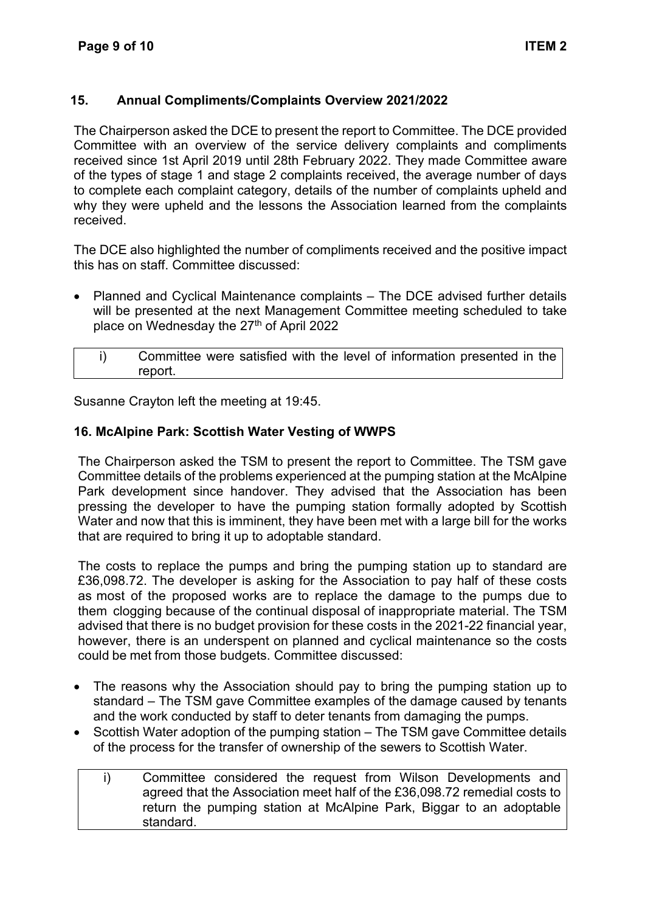## **15. Annual Compliments/Complaints Overview 2021/2022**

The Chairperson asked the DCE to present the report to Committee. The DCE provided Committee with an overview of the service delivery complaints and compliments received since 1st April 2019 until 28th February 2022. They made Committee aware of the types of stage 1 and stage 2 complaints received, the average number of days to complete each complaint category, details of the number of complaints upheld and why they were upheld and the lessons the Association learned from the complaints received.

The DCE also highlighted the number of compliments received and the positive impact this has on staff. Committee discussed:

• Planned and Cyclical Maintenance complaints – The DCE advised further details will be presented at the next Management Committee meeting scheduled to take place on Wednesday the 27<sup>th</sup> of April 2022

| Committee were satisfied with the level of information presented in the |
|-------------------------------------------------------------------------|
| report.                                                                 |

Susanne Crayton left the meeting at 19:45.

#### **16. McAlpine Park: Scottish Water Vesting of WWPS**

The Chairperson asked the TSM to present the report to Committee. The TSM gave Committee details of the problems experienced at the pumping station at the McAlpine Park development since handover. They advised that the Association has been pressing the developer to have the pumping station formally adopted by Scottish Water and now that this is imminent, they have been met with a large bill for the works that are required to bring it up to adoptable standard.

The costs to replace the pumps and bring the pumping station up to standard are £36,098.72. The developer is asking for the Association to pay half of these costs as most of the proposed works are to replace the damage to the pumps due to them clogging because of the continual disposal of inappropriate material. The TSM advised that there is no budget provision for these costs in the 2021-22 financial year, however, there is an underspent on planned and cyclical maintenance so the costs could be met from those budgets. Committee discussed:

- The reasons why the Association should pay to bring the pumping station up to standard – The TSM gave Committee examples of the damage caused by tenants and the work conducted by staff to deter tenants from damaging the pumps.
- Scottish Water adoption of the pumping station The TSM gave Committee details of the process for the transfer of ownership of the sewers to Scottish Water.
	- i) Committee considered the request from Wilson Developments and agreed that the Association meet half of the £36,098.72 remedial costs to return the pumping station at McAlpine Park, Biggar to an adoptable standard.